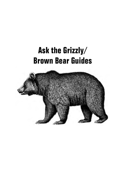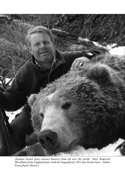

*Alaskan brown bears attract hunters from all over the world. Here Roderick Wurfbain from England poses with his magnificent 10½-foot brown bear.* (Safari Press photo library)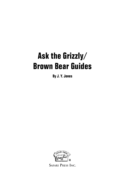**By J. Y. Jones**



**Safari Press Inc.**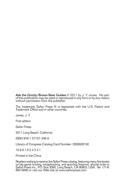Ask the Grizzly/Brown Bear Guides © 2011 by J. Y. Jones. No part of this publication may be used or reproduced in any form or by any means without permission from the publisher.

The trademark Safari Press ® is registered with the U.S. Patent and Trademark Office and in other countries.

Jones, J. Y.

First edition

Safari Press

2011 Long Beach, California

ISBN 978-1-57157-346-9

Library of Congress Catalog Card Number: 2009928192

10 9 8 7 6 5 4 3 2 1

Printed in the China

Readers wishing to receive the Safari Press catalog, featuring many fine books on big-game hunting, wingshooting, and sporting firearms, should write to Safari Press Inc., P.O. Box 3095, Long Beach, CA 90803, USA. Tel: (714) 894-9080 or visit our Web site at www.safaripress.com.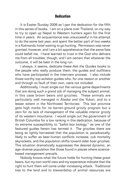#### **Dedication**

It is Easter Sunday 2008 as I pen the dedication for the fifth in this series of books. I am on a plane over Thailand, on my way to try to open up Nepal to Western hunters again for the first time in years. An acquaintance was unsuccessful in his attempt to do the same last year, and spent the better part of two weeks in a Katmandu hotel waiting to go hunting. Permission was never granted, however, and I am a bit apprehensive that the same fate could befall me. I have learned to trust in the God who delivers me from all troubles, though, and I am certain that whatever the outcome, it will be best in the long run.

I always, it seems, dedicate these *Ask the Guides* books to the people who really produce them, the guides and outfitters who have participated in the interview process. I also include those worthy top-echelon guides who, for one reason or another and through no fault of their own, were not included.

Additionally, I must single out the various game departments that are doing such a grand job of managing the subject animal, in this case brown bears and grizzlies. These animals are particularly well managed in Alaska and the Yukon, and to a lesser extent in the Northwest Territories. This last province gets high marks for its barren-ground grizzly program but a zero for its lack of management of the valuable interior grizzly of its western mountains. I would single out the government of British Columbia for a low ranking in this dedication, because of its extreme susceptibility to "ballot-box biology," as one of the featured guides herein has termed it. The grizzlies there are being so lightly harvested that the population is, paradoxically, likely to suffer as bear-human conflicts increase, cub mortality skyrockets, and the population shifts toward older boar grizzlies. This situation dramatically suppresses the desired dynamic, an age-diverse population like those found in places where sciencebased management prevails.

Nobody knows what the future holds for hunting these great bears, but my own world view and my experience indicate that the right to hunt them will come under increasing attack. Traditional ties to the land and to stewardship of animal resources are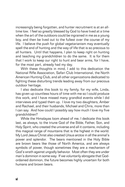increasingly being forgotten, and hunter recruitment is at an alltime low. I feel so greatly blessed by God to have lived at a time when the art of the outdoors could be ingrained in me as a young boy, and then be lived out to the fullest over the course of my life. I believe the push for global vegetarianism may eventually spell the end of hunting and the way of life that is so precious to all hunters. Until that happens, I plan to keep right on hunting and teaching my grandchildren to do the same. It is for them that I work to keep our right to hunt and bear arms, for I have, for the most part, already had my day.

With these thoughts in mind, I add to this dedication the National Rifle Association, Safari Club International, the North American Hunting Club, and all other organizations dedicated to fighting these disturbing trends leading away from our precious outdoor heritage.

I also dedicate this book to my family, for my wife, Linda, has given up countless hours of time with me so I could produce this work, and I have missed many grandkid events while I did interviews and typed them up. I love my two daughters, Amber and Rachael, and their husbands, Michael and Chris, more than I can say. And how could I possibly say how much I love my five grandchildren?

While the Himalayas loom ahead of me, I dedicate this book last, as always, to the triune God of the Bible, Father, Son, and Holy Spirit, who created the universe and all it contains, including this magical range of mountains that is the highest in the world. My Lord Jesus Christ also created *Ursus arctos* in all the animal's power and splendor. The bears mentioned in the Holy Bible are brown bears like those of North America, and are always symbols of power, though sometimes they are a mechanism of God's wrath against ungodly behavior. Most often they are under man's dominion in some way. If we voluntarily abrogate that Godordained dominion, the future becomes highly uncertain for both humans and brown bears.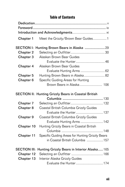# **Table of Contents**

| Chapter 1            | Meet the Grizzly/Brown Bear Guides 1                        |  |
|----------------------|-------------------------------------------------------------|--|
| <b>SECTION I:</b>    | Hunting Brown Bears in Alaska 29                            |  |
| <b>Chapter 2</b>     |                                                             |  |
| Chapter 3            | Alaskan Brown Bear Guides                                   |  |
|                      |                                                             |  |
| Chapter 4            | Alaskan Brown Bear Guides                                   |  |
|                      | Evaluate Hunting Arms  62                                   |  |
| <b>Chapter 5</b>     | Hunting Brown Bears in Alaska 82                            |  |
| Chapter <sub>6</sub> | Specific Guiding Areas for Hunting                          |  |
|                      |                                                             |  |
|                      | <b>SECTION II: Hunting Grizzly Bears in Coastal British</b> |  |
|                      |                                                             |  |
| Chapter 7            |                                                             |  |
| Chapter 8            | Coastal British Columbia Grizzly Guides                     |  |
|                      | Evaluate the Hunter 137                                     |  |
| Chapter 9            | Coastal British Columbia Grizzly Guides                     |  |
|                      | Evaluate Hunting Arms  142                                  |  |
| Chapter 10           | Hunting Grizzly Bears in Coastal British                    |  |
|                      |                                                             |  |
| Chapter 11           | Specific Guiding Areas for Hunting Grizzly Bears            |  |
|                      | in Coastal British Columbia 157                             |  |
| <b>SECTION III:</b>  | Hunting Grizzly Bears in Interior Alaska 165                |  |
| Chapter 12           |                                                             |  |
| Chapter 13           | Interior Alaska Grizzly Guides                              |  |
|                      | Evaluate the Hunter 174                                     |  |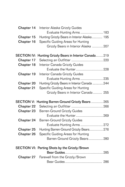| Chapter 14         | Interior Alaska Grizzly Guides                      |
|--------------------|-----------------------------------------------------|
|                    | Evaluate Hunting Arms  183                          |
| Chapter 15         | Hunting Grizzly Bears in Interior Alaska 195        |
| Chapter 16         | Specific Guiding Areas for Hunting                  |
|                    | Grizzly Bears in Interior Alaska  207               |
| <b>SECTION IV:</b> | Hunting Grizzly Bears in Interior Canada 219        |
| Chapter 17         |                                                     |
| Chapter 18         | Interior Canada Grizzly Guides                      |
|                    | Evaluate the Hunter 228                             |
| Chapter 19         | Interior Canada Grizzly Guides                      |
|                    | Evaluate Hunting Arms  235                          |
| Chapter 20         | Hunting Grizzly Bears in Interior Canada 244        |
| Chapter 21         | Specific Guiding Areas for Hunting                  |
|                    | Grizzly Bears in Interior Canada  255               |
|                    |                                                     |
|                    | SECTION V: Hunting Barren-Ground Grizzly Bears  265 |
| <b>Chapter 22</b>  |                                                     |
| Chapter 23         | <b>Barren-Ground Grizzly Guides</b>                 |
|                    | Evaluate the Hunter 269                             |
| Chapter 24         | <b>Barren-Ground Grizzly Guides</b>                 |
|                    | Evaluate Hunting Arms  272                          |
| Chapter 25         | Hunting Barren-Ground Grizzly Bears 276             |
| Chapter 26         | Specific Guiding Areas for Hunting                  |
|                    | Barren-Ground Grizzly Bears 280                     |
|                    | SECTION VI: Parting Shots by the Grizzly/Brown      |
|                    |                                                     |
| <b>Chapter 27</b>  | Farewell from the Grizzly/Brown                     |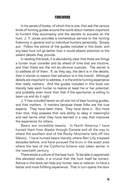#### **FOREWORD**

In his series of books, of which this is one, that ask the various kinds of hunting guides around the world about matters important to hunters they accompany and the secrets to success on the hunt, J. Y. Jones provides a tremendous service to the hunting fraternity in general and to individual hunters personally. Simply put: Follow the advice of the guides included in this book, and any bear hunt will go better than it would absent attention to the salient details they provide.

In reading this book, it is abundantly clear that there are things a hunter must consider and do ahead of time that are intuitive, and then there are the not-so-obvious nuances. The secret is to address all of them. If, as they say, the devil is in the details, then it stands to reason that salvation is in the overall. Although details are important to address, it is the entire hunting experience that really matters. And the guides included in this book can literally help each hunter to realize at least his or her potential, and probably even more than that if the sportsman is willing to team-up and do it right.

J. Y. has included herein an all-star list of bear hunting guides, and that matters. It matters because these folks are the true experts. They have been there. They have done it. But more than that, they possess that rare ability to relay in meaningful and real terms what they have learned in a way that improves the experience for others.

Bears are incredible beasts. In North America I have hunted them from Alaska through Canada and all the way to where the southern end of the Rocky Mountains tails off into Mexico. I have hunted bears literally where Ben Lilly traipsed decades before, and have pursued the bruin in the exact area where the last of the California browns was taken earlier in the twentieth century.

There exists a culture of the bear hunt. To be able to appreciate this elevated state, it is crucial that the hunt itself be correct. Advice in this book can help any hunter, new or veteran, to have a better and more fulfilling experience. That in turn opens the door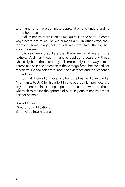to a higher and more complete appreciation and understanding of the bear itself.

In all of nature there is no animal quite like the bear. In some ways bears are much like we humans are. In other ways they represent some things that we wish we were. In all things, they are wonderment.

It is said among soldiers that there are no atheists in the foxhole. A similar thought might be applied to bears and those who truly hunt them properly. There simply is no way that a person can be in the presence of these magnificent beasts and not recognize, indeed celebrate, both the existence and the presence of the Creator.

For that, I join all of those who hunt the bear and give thanks. And thanks to J. Y. for his effort in this book, which provides the key to open this fascinating aspect of the natural world to those who wish to realize the epitome of pursuing one of nature's most perfect animals.

Steve Comus Director of Publications Safari Club International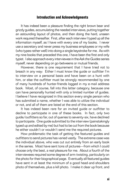#### **Introduction and Acknowledgments**

It has indeed been a pleasure finding the right brown bear and grizzly guides, accumulating the needed interviews, putting together an astounding layout of photos, and then doing the hard, unseen work required thereafter. First, after each interview I typed up all the information myself, as I have with every one of my books. I never use a secretary and never press my business employees or my wife (who types rather well) into doing a single keystroke for me. As with my nine books that preceded this one, I have been the first and only typist. I also approach every interviewee in the *Ask the Guides* series myself, never depending on go-betweens or mutual friends.

However, there is one requirement that I have tried not to breach in any way: Either I must know the guide or outfitter I'm to interview on a personal basis and have been on a hunt with him, or else the outfitter must be strongly recommended by one of many hundreds of hunter-friends logged in my e-mail address book. Most, of course, fall into this latter category, because one can have personally hunted with only a limited number of guides. I believe I have recognized in this section every single person who has submitted a name, whether I was able to utilize the individual or not, and all of them are listed at the end of this section.

It has indeed been rare for an invited guide or outfitter to decline to participate in one of these books. In fact, only two guide/outfitters so far, out of queries to seventy-six, have declined to participate. One guide submitted to the interview (painstakingly typed up and edited by me) but had to be cut from the book because he either couldn't or wouldn't send me the required pictures.

How problematic the task of getting the featured guides and outfitters to send pictures has varied vastly. The extreme case was the individual above, who was cut out entirely from an early book in the series. Most have sent tons of pictures—from which I could choose only the best, a real pleasure for me. About a fourth of the interviewees required some degree of arm-twisting, particularly on the photo for their biographical page. Eventually all featured guides have sent in at least the minimum of a good head-and-shoulders photo of themselves, plus a kill photo. I make it clear up front, and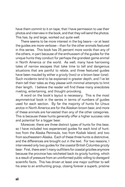have them commit to it on tape, that I have permission to use their photos and interview in the book, and that they will send the photos. This has, by and large, worked out quite well.

There seems to be more interest in the big bears—or at least the guides are more verbose—than for the other animals featured in this series. This book has 25 percent more words than any of the others, in part because of the enthusiasm of the guides for the unique hunts they conduct for perhaps the grandest game animal in North America or the world. As well, many have harrowing tales of narrow escapes that take time to tell and dangerous situations that are painful to relate, and three featured guides have been mauled by either a grizzly (two) or a brown bear (one). Such incidents tend to be explained in greater depth, and I've let them tell their tales as they please with minimal attempts to limit their length. I believe the reader will find these many anecdotes riveting, entertaining, and thought-provoking.

A word on the book's layout is necessary. This is the most asymmetrical book in the series in terms of numbers of guides used for each section. By far the majority of hunts for *Ursus arctos* in North America are for the Alaskan brown bear, and more of these animals are harvested than any of the other categories. This is because these hunts generally offer a higher success rate and potential for a bigger bear.

Moreover, there are three distinct types of hunts for this bear, so I have included two experienced guides for each kind of hunt: two from the Alaska Peninsula, two from Kodiak Island, and two from southeastern Alaska. Each of these three hunts is distinctive, and the differences are brought out in the text. For two reasons, I interviewed only two guides for the coastal British Columbia grizzly bear: First, there aren't many outfitters for coastal grizzlies anymore because the province has ratcheted back its grizzly hunting, which is a result of pressure from an uninformed public willing to disregard scientific facts. This has driven at least one major outfitter to sell his area to an antihunting group, closing forever a superb, pristine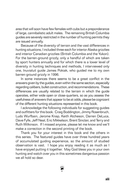area that will soon have few females with cubs but a preponderance of large, cannibalistic adult males. The remaining British Columbia guides are severely restricted in the number of hunting permits they are issued annually.

Because of the diversity of terrain and the vast differences in hunting situations, I included three each for interior Alaska grizzlies and interior Canadian grizzlies (British Columbia and the Yukon). For the barren-ground grizzly, only a handful of which are taken by sport hunters annually and for which there is a lower level of diversity in hunting techniques and methods, I interviewed only one, Inuvialuit guide James Pokiak, who guided me to my own barren-ground grizzly in 1996.

In some instances there seems to be a great conflict in the answers given by the guides, even within the same section, especially regarding calibers, bullet construction, and recommendations. These differences are usually related to the terrain in which the guide operates, either wide open or close-quarters, so as you assess the usefulness of answers that appear to be at odds, please be cognizant of the different hunting situations represented in this book.

I acknowledge the following individuals for suggesting guides and outfitters for this book: Craig Boddington, Jimmy Rosenbruch, Ludo Wurfbain, Jerome Knap, Keith Atcheson, Darren DeLuca, Dave Fyfe, Jeff Neal, Eric Mikkelson, Brent Sinclair, and Terry and Ruth Wilkinson. If I missed anyone, please let me know and we'll make a correction in the second printing of the book.

Thank you for your interest in this book and the others in this series. The featured guides have over three hundred years of accumulated guiding experience, so the amount of studied observation is vast. I hope you enjoy reading it as much as I have enjoyed putting it together. May God bless you in your own hunting and watch over you in this sometimes dangerous passion we all hold so dear.

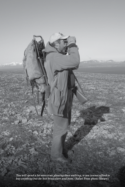*You will spend a lot more time glassing than walking, so you cannot afford to buy anything but the best binoculars and boots.* **(Safari Press photo library)**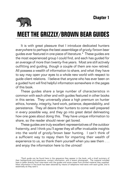

# **MEET THE GRIZZLY/BROWN BEAR GUIDES**

It is with great pleasure that I introduce dedicated hunters everywhere to perhaps the best assemblage of grizzly/brown bear guides ever featured in one piece of literature.\* These guides are the most experienced group I could find, and each has guided for an average of more than twenty-five years. Most are still actively outfitting and guiding, though a couple of them are now retired. All possess a wealth of information to share, and what they have to say may open your eyes to a whole new world with respect to guide-client relations. I believe that anyone who has ever been on a guided hunt will find helpful information somewhere in the pages of this book.

These guides share a large number of characteristics in common with each other and with guides featured in other books in this series. They universally place a high premium on hunter ethics, honesty, integrity, hard work, patience, dependability, and persistence. They all desire their hunters to come well prepared in every possible way, and they go into great detail delineating how one goes about doing this. They have unique information to share, so the reader should never get bored.

These guides are truly excellent representatives of the outdoor fraternity, and I think you'll agree they all offer invaluable insights into the world of grizzly/brown bear hunting. I can't think of a sufficient way to repay them for imparting their wealth of experience to us, so thank them yourself when you see them . . . and enjoy the information here to the utmost!

<sup>\*</sup>Each guide can be found here in the sequence they appear in the book, with a brief summary of their backgrounds and experience, contact information, and a recent photograph. The material included here is taken directly from interviews with the guides and some cases from printed material they supplied. Most information in this book has been obtained by means of telephone interviews with each guide, and is essentially as they said it.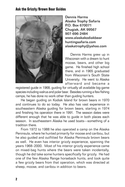

Dennis Harms Alaska Trophy Safaris P.O. Box 670071 Chugiak, AK 99567 907-696-2484 www.alaskakodiakbear huntingsafaris.com alaskatrophy@yahoo.com

Dennis Harms grew up in Wisconsin with a dream to hunt moose, bears, and other big game. He finished high school there, and in 1965 graduated from Wisconsin's South State University. He went to Alaska afterward and became a

registered guide in 1968, guiding for virtually all available big-game species including walrus and polar bear. Besides running a few fishing camps, he has done no work other than guiding hunters.

He began guiding on Kodiak Island for brown bears in 1970 and continues to do so today. He also has vast experience in southeastern Alaska guiding for brown bears, starting in 1974 and finishing his operation there in 1991. The season dates were different enough that he was able to guide in both places each season. In southeastern Alaska he used boats—something of a tradition there.

From 1972 to 1988 he also operated a camp on the Alaska Peninsula, where he hunted primarily for moose and caribou, but he also guided and outfitted for Alaska Peninsula brown bears as well. He even has interior grizzly experience, spanning the years 1968–2000. Most of his interior grizzly experience came on mixed-bag hunts where the bears were taken incidentally, though he did take some hunters specifically for grizzly. He had one of the few Alaska Range horseback hunts, and took quite a few grizzly bears from that operation, which was directed at sheep, moose, and caribou in addition to bears.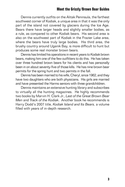Dennis currently outfits on the Alitak Peninsula, the farthest southwest corner of Kodiak, a unique area in that it was the only part of the island not covered by glaciers during the Ice Age. Bears there have larger heads and slightly smaller bodies, as a rule, as compared to other Kodiak bears. His second area is also on the southwest part of Kodiak in the Frazier Lake area, where the bears have truly large bodies. His third area, the brushy country around Uganik Bay, is more difficult to hunt but produces some real monster brown bears.

Dennis has limited his operations in recent years to Kodiak brown bears, making him one of the few outfitters to do this. He has taken over three hundred brown bears for his clients and has personally been in on about seventy-five of those kills. He has nine brown bear permits for the spring hunt and two permits in the fall.

Dennis has been married to his wife, Cheryl, since 1962, and they have two daughters who are both physicians. His girls are married and have presented the Harms seniors with three grandchildren.

Dennis maintains an extensive hunting library and subscribes to virtually all the hunting magazines. He highly recommends two books by Marvin H. Clark Jr., *Last of the Great Brown Bear Men* and *Track of the Kodiak*. Another book he recommends is Harry Dodd's 2007 title, *Kodiak Island and Its Bears,* a volume filled with years of in-depth research.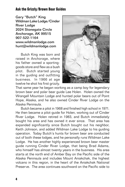Gary "Butch" King Wildman Lake Lodge/Cinder River Lodge 2024 Stonegate Circle Anchorage, AK 99515 907-522-1164 www.wildmanlodge.com hunt@wildmanlodge.com

Butch King was born and raised in Anchorage, where his father owned a sportinggoods store and flew as a bush pilot. Butch started young in the guiding and outfitting business. In 1966 at age twelve he shot his first grizzly.



That same year he began working as a camp boy for legendary brown bear and polar bear guide Lee Holen. Holen owned the Wrangell Mountain Lodge and hunted polar bears out of Point Hope, Alaska, and he also owned Cinder River Lodge on the Alaska Peninsula.

Butch became a pilot in 1968 and finished high school in 1971. He then became a pilot-guide for Holen, working out of Cinder River Lodge. Holen retired in 1983, and Butch immediately bought his area and has owned it ever since. That area has expanded significantly since Butch bought out his neighbor, Keith Johnson, and added Wildman Lake Lodge to his guiding operation. Today Butch's hunts for brown bear are conducted out of both these lodges, and he personally runs Wildman Lake Lodge. He has another highly experienced brown bear master guide running Cinder River Lodge, that being Brad Adams, who himself has almost twenty years in the business. His area starts at the north end of Amber Bay on the Pacific side of the Alaska Peninsula and includes Mount Aniakchak, the highest volcano in this region, in the heart of the Aniakchak National Preserve. The area continues southward on the Pacific side to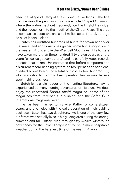near the village of Perryville, excluding native lands. The line then crosses the peninsula to a place called Cape Cinnamon, where the walrus haul out frequently, on the Bristol Bay side, and then goes north to the mouth of the Cinder River. The area encompasses about two and a half million acres in total, as large as all of Kodiak Island.

Butch has outfitted hundreds of hunts for brown bear over the years, and additionally has guided some hunts for grizzly in the western Arctic and in the Wrangell Mountains. His hunters have taken more than three hundred fifty brown bears over the years "since we got computers," and he carefully keeps records on each bear taken. He estimates that before computers and his current record-keeping system, he took perhaps an additional hundred brown bears, for a total of close to four hundred fifty kills. In addition to his brown bear operation, he runs an extensive sport-fishing business.

Butch isn't a big reader of the hunting literature, having experienced so many hunting adventures of his own. He does enjoy the renovated *Sports Afield* magazine, some of the magazines from Petersen's Publishing, and the Safari Club International magazine *Safari*.

He has been married to his wife, Kathy, for some sixteen years, and she helps with the daily operation of their guiding business. Butch has two daughters. He is one of the very few outfitters who actually lives in his guiding area during the spring, summer, and fall. After living through fifty Alaska winters, he now heads for the Lower Forty-Eight to live in more hospitable weather during the harshest time of the year in Alaska.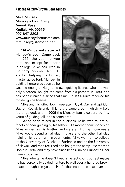Mike Munsey Munsey's Bear Camp Amook Pass Kodiak, AK 99615 907-847-2203 www.munseysbearcamp.com mmunsey@starband.net

Mike's parents started Munsey's Bear Camp back in 1956, the year he was born, and except for a stint in college Mike has lived in the camp his entire life. He started helping his father, master guide Park Munsey, in guiding hunters as soon as he



was old enough. He got his own guiding license when he was only nineteen, bought the camp from his parents in 1980, and has been running it since that time. In 1996 Mike received his master guide license.

Mike and his wife, Robin, operate in Uyak Bay and Spiridon Bay on Kodiak Island. This is the same area in which Mike's father guided, and in 2006 the Munsey family celebrated fifty years of guiding, all in this same area.

Having been raised in the business, Mike was taught all facets of bear guiding by his father. His mother home-schooled Mike as well as his brother and sisters. During those years Mike would spend a half-day in class and the other half-day helping his father run his bear hunts. Mike went off to college at the University of Alaska in Fairbanks and at the University of Hawaii, and then returned and bought the camp. He married Robin in 1984, and they have since been running Munsey's Bear Camp together.

Mike admits he doesn't keep an exact count but estimates he has personally guided hunters to well over a hundred brown bears through the years. He further estimates that over the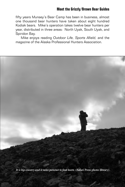fifty years Munsey's Bear Camp has been in business, almost one thousand bear hunters have taken about eight hundred Kodiak bears. Mike's operation takes twelve bear hunters per year, distributed in three areas: North Uyak, South Uyak, and Spiridon Bay.

Mike enjoys reading *Outdoor Life, Sports Afield,* and the magazine of the Alaska Professional Hunters Association.

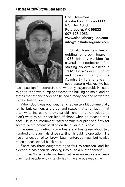

Scott Newman Alaska Bear Guides LLC P.O. Box 1348 Petersburg, AK 99833 907-723-1053 www.alaskabearguide.com info@alaskabearguide.com

Scott Newman began guiding for brown bears in 1988, initially working for several other outfitters before starting his own business in 1992. He lives in Petersburg and guides primarily in the Admiralty Island area in southeastern Alaska. He has

had a passion for bears since he was only six years old. He used to go to the town dump and watch the hulking animals, and he states that at this tender age he had already decided he wanted to be a bear guide.

When Scott was younger, he fished quite a bit commercially for halibut, salmon, and crab, and states matter-of-factly that after watching some forty-year-old fishermen, he decided he didn't want to be in their kind of shape when he reached their age! He is an instrument-rated commercial pilot and flew for several years before settling on the guiding business.

He grew up hunting brown bears and has taken about two hundred of the animals since starting his guiding operation. He has an allocation of ten brown bear hunters per year, but he also takes an occasional black bear.

Scott has three daughters ages four to fourteen, and his oldest girl has been developing into quite a hunter herself.

Scott isn't a big reader and feels that he knows more about bears than most people who write stories in the average magazine.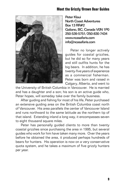

Peter Klaui North Coast Adventures Box 13 RR#2 Galiano, BC, Canada V0N 1P0 250-539-5751/250-830-7434 www.ncasafaris.com info@ncasafaris.com

Peter no longer actively guides for coastal grizzlies, but he did so for many years and still outfits hunts for the big bears. In addition, he has twenty-five years of experience as a commercial fisherman. Peter was born and raised in Calgary, Alberta, and went to

the University of British Columbia in Vancouver. He is married and has a daughter and a son; his son is an active guide who, Peter hopes, will someday take over the family business.

After guiding and fishing for most of his life, Peter purchased an extensive guiding area on the British Columbia coast north of Vancouver. His area parallels the center of Vancouver Island and runs northward to the same latitude as the northern tip of that island. Extending inland a long way, it encompasses seven to eight thousand square miles.

Peter has personally guided clients to more than twenty coastal grizzlies since purchasing the area in 1995, but several guides who work for him have taken many more. Over the years before he obtained the area, it produced perhaps hundreds of bears for hunters. His operation is now on a very conservative quota system, and he takes a maximum of five grizzly hunters per year.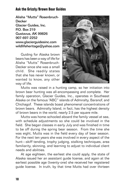Alisha "Mutts" Rosenbruch-**Decker** Glacier Guides, Inc. P.O. Box 219 Gustavus, AK 99826 907-697-2252 www.glacierguidesinc.com wildlifeheritage@yahoo.com

Guiding for Alaska brown bears has been a way of life for Alisha "Mutts" Rosenbruch-Decker since she was a small child. She readily states that she has never known, or wanted to know, any other way of life.



Mutts was raised in a hunting camp, so her initiation into brown bear hunting was all-encompassing and complete. Her family operation, Glacier Guides, Inc., operates in Southeast Alaska on the famous "ABC" islands of Admiralty, Baranof, and Chichagof. These islands boast phenomenal concentrations of brown bears. Admiralty Island, in fact, has the highest density of brown bears in the world, nearly 2.5 per square mile.

Mutts was home-schooled aboard the family vessel at sea, with schedule adjustments so she could be involved in the field. She began classes in early July and was finished in time to be off during the spring bear season. From the time she was eight, Mutts was in the field every day of bear season. For the next ten years she was involved in every aspect of the hunt—skiff tending, trophy judging, stalking techniques, area familiarity, skinning, and learning to adjust to individual client needs and abilities.

At age eighteen, the earliest she could apply, the state of Alaska issued her an assistant guide license, and again at the earliest possible age (twenty-one) she received her registered guide license. In truth, by that time Mutts had over thirteen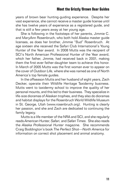years of brown bear hunting-guiding experience. Despite her vast experience, she cannot receive a master guide license until she has twelve years of experience as a registered guide, and that is still a few years away at her young age.

She is following in the footsteps of her parents, Jimmie C. and MaryAnn Rosenbruch, who both hold Alaska master guide licenses, as does her brother, Jimmie "Bud" Rosenbruch. At age sixteen she received the Safari Club International's Young Hunter of the Year award. In 2008 Mutts was the recipient of SCI's North American Professional Hunter of the Year award, which her father, Jimmie, had received back in 2001, making them the first-ever father-daughter team to achieve this honor. In March of 2005 Mutts was the first woman ever to appear on the cover of *Outdoor Life,* where she was named as one of North America's top female guides.

In the offseason Mutts and her husband of eight years, Zach Decker, operate their Wildlife Heritage Taxidermy business. Mutts went to taxidermy school to improve the quality of her personal mounts, and this led to their business. They specialize in life-size dioramas of Alaskan trophies, and they also do dioramas and habitat displays for the Rosenbruch World Wildlife Museum in St. George, Utah (www.rosenbruch.org). Hunting is clearly her passion, and she and Zach are dedicated to continuing the family legacy.

Mutts is a life member of the NRA and SCI, and she regularly reads *American Hunter, Safari,* and *Safari Times.* She also reads the *Alaska Professional Hunter* magazine. She recommends Craig Boddington's book *The Perfect Shot—North America* for information on correct shot placement and animal anatomy.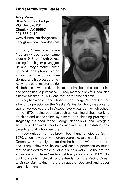Tracy Vrem Blue Mountain Lodge P.O. Box 670130 Chugiak, AK 99567 907-688-2419 www.bluemountainlodge.com tracy@bluemountainlodge.com

Tracy Vrem is a native Alaskan whose father came there in 1948 from North Dakota looking for a higher-paying job. He and Tracy's mother drove up the Alcan Highway to start a new life. Tracy has three siblings, and his oldest brother, Kelly, is also a master guide.



His father is now retired, but his mother has been the cook for his operation since he purchased it. Tracy married his wife, Linda, also a native Alaskan, in 1995, and they have three children.

Tracy had a best friend whose father, George Needels Sr., had a hunting operation on the Alaska Peninsula. Tracy was able to spend two weeks there in October every year during high school in the 1970s, doing odd jobs such as washing dishes, working on skins and capes taken by clients, and cleaning ptarmigan. Tragically, his good friend George Needels Jr. and George's sister Terri died in a Super Cub crash in 1978, devastating their parents and all who knew them.

Tracy guided his first brown bear hunt for George Sr. in 1979, when he was only nineteen years old, taking a client from Germany. He readily admits that he had an awful lot to learn back then. However, he enjoyed such experiences so much that he decided to make guiding his life's work. He bought the entire operation from Needels just four years later, in 1983. His guiding area is in Unit 9E and extends from the Pacific Ocean to Bristol Bay, taking in the drainages of Becharof and Upper Ugashik Lakes.